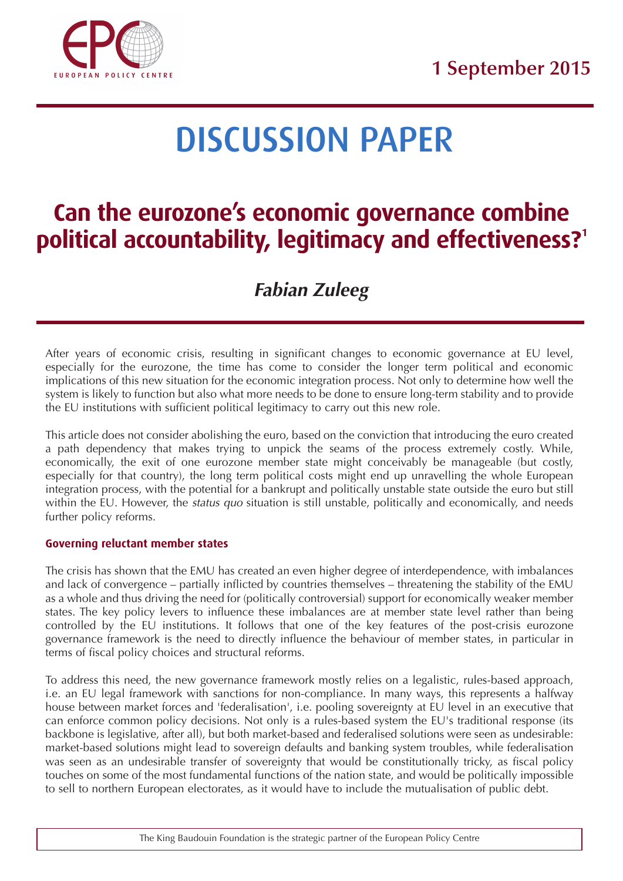

# **DISCUSSION PAPER**

## **Can the eurozone's economic governance combine political accountability, legitimacy and effectiveness?1**

### **Fabian Zuleeg**

After years of economic crisis, resulting in significant changes to economic governance at EU level, especially for the eurozone, the time has come to consider the longer term political and economic implications of this new situation for the economic integration process. Not only to determine how well the system is likely to function but also what more needs to be done to ensure long-term stability and to provide the EU institutions with sufficient political legitimacy to carry out this new role.

This article does not consider abolishing the euro, based on the conviction that introducing the euro created a path dependency that makes trying to unpick the seams of the process extremely costly. While, economically, the exit of one eurozone member state might conceivably be manageable (but costly, especially for that country), the long term political costs might end up unravelling the whole European integration process, with the potential for a bankrupt and politically unstable state outside the euro but still within the EU. However, the *status quo* situation is still unstable, politically and economically, and needs further policy reforms.

#### **Governing reluctant member states**

The crisis has shown that the EMU has created an even higher degree of interdependence, with imbalances and lack of convergence – partially inflicted by countries themselves – threatening the stability of the EMU as a whole and thus driving the need for (politically controversial) support for economically weaker member states. The key policy levers to influence these imbalances are at member state level rather than being controlled by the EU institutions. It follows that one of the key features of the post-crisis eurozone governance framework is the need to directly influence the behaviour of member states, in particular in terms of fiscal policy choices and structural reforms.

To address this need, the new governance framework mostly relies on a legalistic, rules-based approach, i.e. an EU legal framework with sanctions for non-compliance. In many ways, this represents a halfway house between market forces and 'federalisation', i.e. pooling sovereignty at EU level in an executive that can enforce common policy decisions. Not only is a rules-based system the EU's traditional response (its backbone is legislative, after all), but both market-based and federalised solutions were seen as undesirable: market-based solutions might lead to sovereign defaults and banking system troubles, while federalisation was seen as an undesirable transfer of sovereignty that would be constitutionally tricky, as fiscal policy touches on some of the most fundamental functions of the nation state, and would be politically impossible to sell to northern European electorates, as it would have to include the mutualisation of public debt.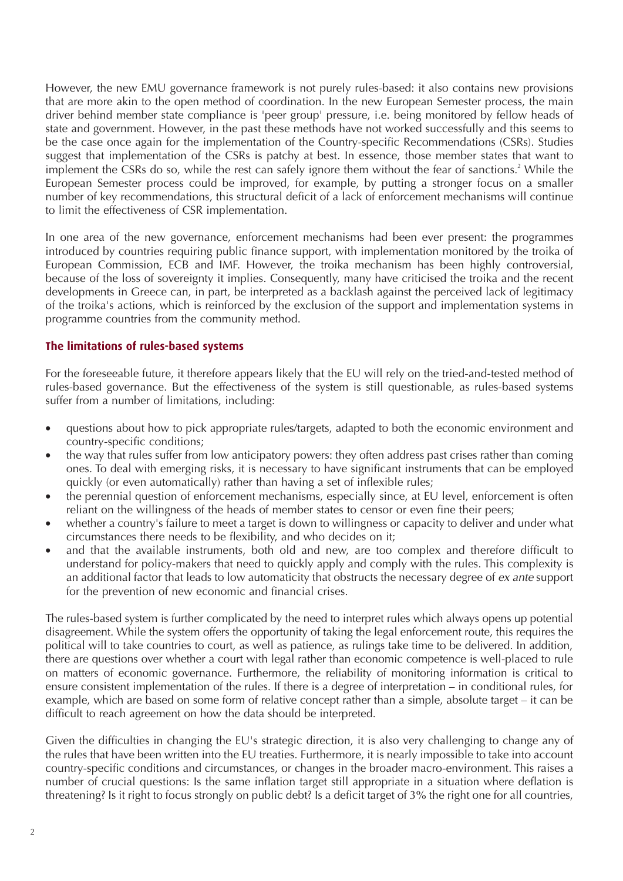However, the new EMU governance framework is not purely rules-based: it also contains new provisions that are more akin to the open method of coordination. In the new European Semester process, the main driver behind member state compliance is 'peer group' pressure, i.e. being monitored by fellow heads of state and government. However, in the past these methods have not worked successfully and this seems to be the case once again for the implementation of the Country-specific Recommendations (CSRs). Studies suggest that implementation of the CSRs is patchy at best. In essence, those member states that want to implement the CSRs do so, while the rest can safely ignore them without the fear of sanctions.<sup>2</sup> While the European Semester process could be improved, for example, by putting a stronger focus on a smaller number of key recommendations, this structural deficit of a lack of enforcement mechanisms will continue to limit the effectiveness of CSR implementation.

In one area of the new governance, enforcement mechanisms had been ever present: the programmes introduced by countries requiring public finance support, with implementation monitored by the troika of European Commission, ECB and IMF. However, the troika mechanism has been highly controversial, because of the loss of sovereignty it implies. Consequently, many have criticised the troika and the recent developments in Greece can, in part, be interpreted as a backlash against the perceived lack of legitimacy of the troika's actions, which is reinforced by the exclusion of the support and implementation systems in programme countries from the community method.

#### **The limitations of rules-based systems**

For the foreseeable future, it therefore appears likely that the EU will rely on the tried-and-tested method of rules-based governance. But the effectiveness of the system is still questionable, as rules-based systems suffer from a number of limitations, including:

- questions about how to pick appropriate rules/targets, adapted to both the economic environment and country-specific conditions;
- the way that rules suffer from low anticipatory powers: they often address past crises rather than coming ones. To deal with emerging risks, it is necessary to have significant instruments that can be employed quickly (or even automatically) rather than having a set of inflexible rules;
- the perennial question of enforcement mechanisms, especially since, at EU level, enforcement is often reliant on the willingness of the heads of member states to censor or even fine their peers;
- whether a country's failure to meet a target is down to willingness or capacity to deliver and under what circumstances there needs to be flexibility, and who decides on it;
- and that the available instruments, both old and new, are too complex and therefore difficult to understand for policy-makers that need to quickly apply and comply with the rules. This complexity is an additional factor that leads to low automaticity that obstructs the necessary degree of ex ante support for the prevention of new economic and financial crises.

The rules-based system is further complicated by the need to interpret rules which always opens up potential disagreement. While the system offers the opportunity of taking the legal enforcement route, this requires the political will to take countries to court, as well as patience, as rulings take time to be delivered. In addition, there are questions over whether a court with legal rather than economic competence is well-placed to rule on matters of economic governance. Furthermore, the reliability of monitoring information is critical to ensure consistent implementation of the rules. If there is a degree of interpretation – in conditional rules, for example, which are based on some form of relative concept rather than a simple, absolute target – it can be difficult to reach agreement on how the data should be interpreted.

Given the difficulties in changing the EU's strategic direction, it is also very challenging to change any of the rules that have been written into the EU treaties. Furthermore, it is nearly impossible to take into account country-specific conditions and circumstances, or changes in the broader macro-environment. This raises a number of crucial questions: Is the same inflation target still appropriate in a situation where deflation is threatening? Is it right to focus strongly on public debt? Is a deficit target of 3% the right one for all countries,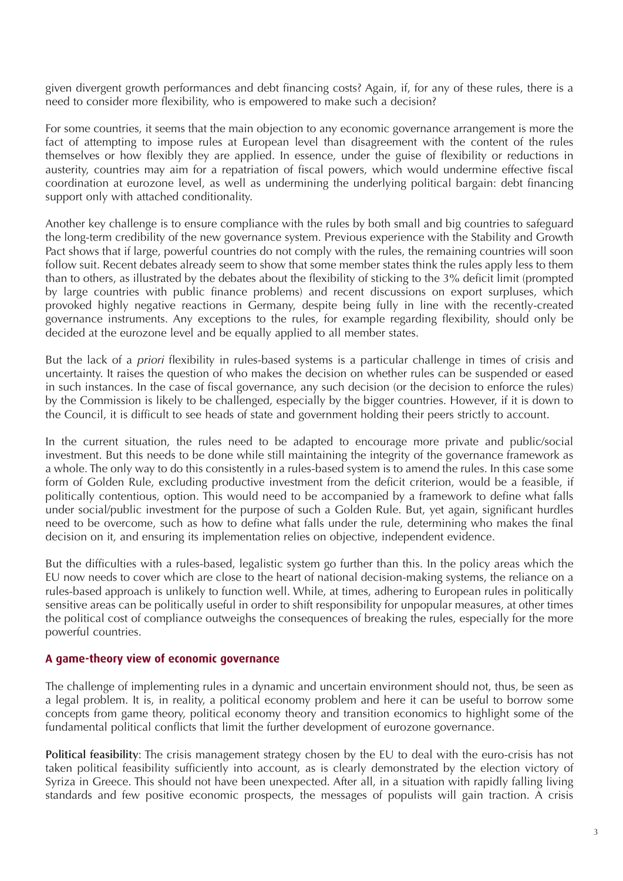given divergent growth performances and debt financing costs? Again, if, for any of these rules, there is a need to consider more flexibility, who is empowered to make such a decision?

For some countries, it seems that the main objection to any economic governance arrangement is more the fact of attempting to impose rules at European level than disagreement with the content of the rules themselves or how flexibly they are applied. In essence, under the guise of flexibility or reductions in austerity, countries may aim for a repatriation of fiscal powers, which would undermine effective fiscal coordination at eurozone level, as well as undermining the underlying political bargain: debt financing support only with attached conditionality.

Another key challenge is to ensure compliance with the rules by both small and big countries to safeguard the long-term credibility of the new governance system. Previous experience with the Stability and Growth Pact shows that if large, powerful countries do not comply with the rules, the remaining countries will soon follow suit. Recent debates already seem to show that some member states think the rules apply less to them than to others, as illustrated by the debates about the flexibility of sticking to the 3% deficit limit (prompted by large countries with public finance problems) and recent discussions on export surpluses, which provoked highly negative reactions in Germany, despite being fully in line with the recently-created governance instruments. Any exceptions to the rules, for example regarding flexibility, should only be decided at the eurozone level and be equally applied to all member states.

But the lack of a priori flexibility in rules-based systems is a particular challenge in times of crisis and uncertainty. It raises the question of who makes the decision on whether rules can be suspended or eased in such instances. In the case of fiscal governance, any such decision (or the decision to enforce the rules) by the Commission is likely to be challenged, especially by the bigger countries. However, if it is down to the Council, it is difficult to see heads of state and government holding their peers strictly to account.

In the current situation, the rules need to be adapted to encourage more private and public/social investment. But this needs to be done while still maintaining the integrity of the governance framework as a whole. The only way to do this consistently in a rules-based system is to amend the rules. In this case some form of Golden Rule, excluding productive investment from the deficit criterion, would be a feasible, if politically contentious, option. This would need to be accompanied by a framework to define what falls under social/public investment for the purpose of such a Golden Rule. But, yet again, significant hurdles need to be overcome, such as how to define what falls under the rule, determining who makes the final decision on it, and ensuring its implementation relies on objective, independent evidence.

But the difficulties with a rules-based, legalistic system go further than this. In the policy areas which the EU now needs to cover which are close to the heart of national decision-making systems, the reliance on a rules-based approach is unlikely to function well. While, at times, adhering to European rules in politically sensitive areas can be politically useful in order to shift responsibility for unpopular measures, at other times the political cost of compliance outweighs the consequences of breaking the rules, especially for the more powerful countries.

#### **A game-theory view of economic governance**

The challenge of implementing rules in a dynamic and uncertain environment should not, thus, be seen as a legal problem. It is, in reality, a political economy problem and here it can be useful to borrow some concepts from game theory, political economy theory and transition economics to highlight some of the fundamental political conflicts that limit the further development of eurozone governance.

**Political feasibility**: The crisis management strategy chosen by the EU to deal with the euro-crisis has not taken political feasibility sufficiently into account, as is clearly demonstrated by the election victory of Syriza in Greece. This should not have been unexpected. After all, in a situation with rapidly falling living standards and few positive economic prospects, the messages of populists will gain traction. A crisis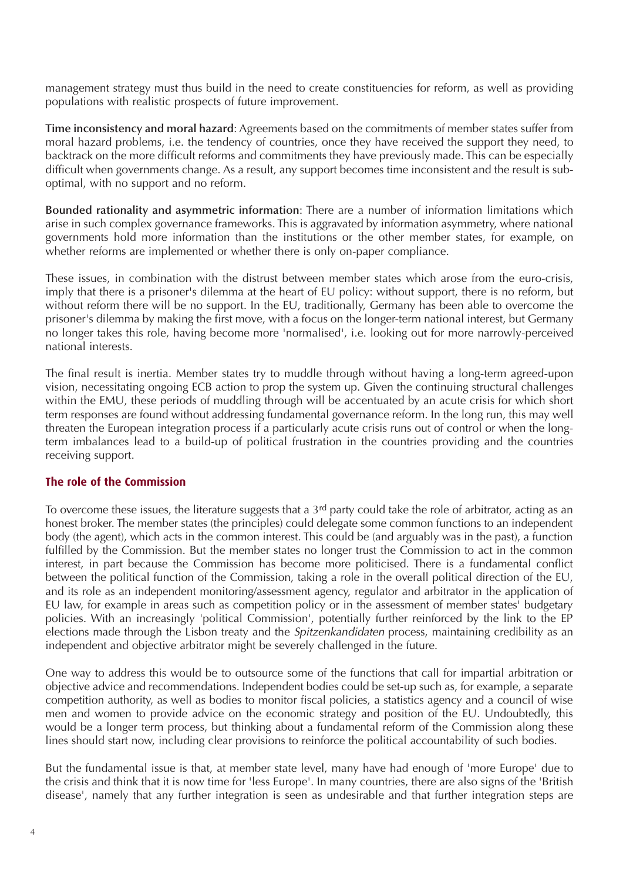management strategy must thus build in the need to create constituencies for reform, as well as providing populations with realistic prospects of future improvement.

**Time inconsistency and moral hazard**: Agreements based on the commitments of member states suffer from moral hazard problems, i.e. the tendency of countries, once they have received the support they need, to backtrack on the more difficult reforms and commitments they have previously made. This can be especially difficult when governments change. As a result, any support becomes time inconsistent and the result is suboptimal, with no support and no reform.

**Bounded rationality and asymmetric information**: There are a number of information limitations which arise in such complex governance frameworks. This is aggravated by information asymmetry, where national governments hold more information than the institutions or the other member states, for example, on whether reforms are implemented or whether there is only on-paper compliance.

These issues, in combination with the distrust between member states which arose from the euro-crisis, imply that there is a prisoner's dilemma at the heart of EU policy: without support, there is no reform, but without reform there will be no support. In the EU, traditionally, Germany has been able to overcome the prisoner's dilemma by making the first move, with a focus on the longer-term national interest, but Germany no longer takes this role, having become more 'normalised', i.e. looking out for more narrowly-perceived national interests.

The final result is inertia. Member states try to muddle through without having a long-term agreed-upon vision, necessitating ongoing ECB action to prop the system up. Given the continuing structural challenges within the EMU, these periods of muddling through will be accentuated by an acute crisis for which short term responses are found without addressing fundamental governance reform. In the long run, this may well threaten the European integration process if a particularly acute crisis runs out of control or when the longterm imbalances lead to a build-up of political frustration in the countries providing and the countries receiving support.

#### **The role of the Commission**

To overcome these issues, the literature suggests that a 3<sup>rd</sup> party could take the role of arbitrator, acting as an honest broker. The member states (the principles) could delegate some common functions to an independent body (the agent), which acts in the common interest. This could be (and arguably was in the past), a function fulfilled by the Commission. But the member states no longer trust the Commission to act in the common interest, in part because the Commission has become more politicised. There is a fundamental conflict between the political function of the Commission, taking a role in the overall political direction of the EU, and its role as an independent monitoring/assessment agency, regulator and arbitrator in the application of EU law, for example in areas such as competition policy or in the assessment of member states' budgetary policies. With an increasingly 'political Commission', potentially further reinforced by the link to the EP elections made through the Lisbon treaty and the Spitzenkandidaten process, maintaining credibility as an independent and objective arbitrator might be severely challenged in the future.

One way to address this would be to outsource some of the functions that call for impartial arbitration or objective advice and recommendations. Independent bodies could be set-up such as, for example, a separate competition authority, as well as bodies to monitor fiscal policies, a statistics agency and a council of wise men and women to provide advice on the economic strategy and position of the EU. Undoubtedly, this would be a longer term process, but thinking about a fundamental reform of the Commission along these lines should start now, including clear provisions to reinforce the political accountability of such bodies.

But the fundamental issue is that, at member state level, many have had enough of 'more Europe' due to the crisis and think that it is now time for 'less Europe'. In many countries, there are also signs of the 'British disease', namely that any further integration is seen as undesirable and that further integration steps are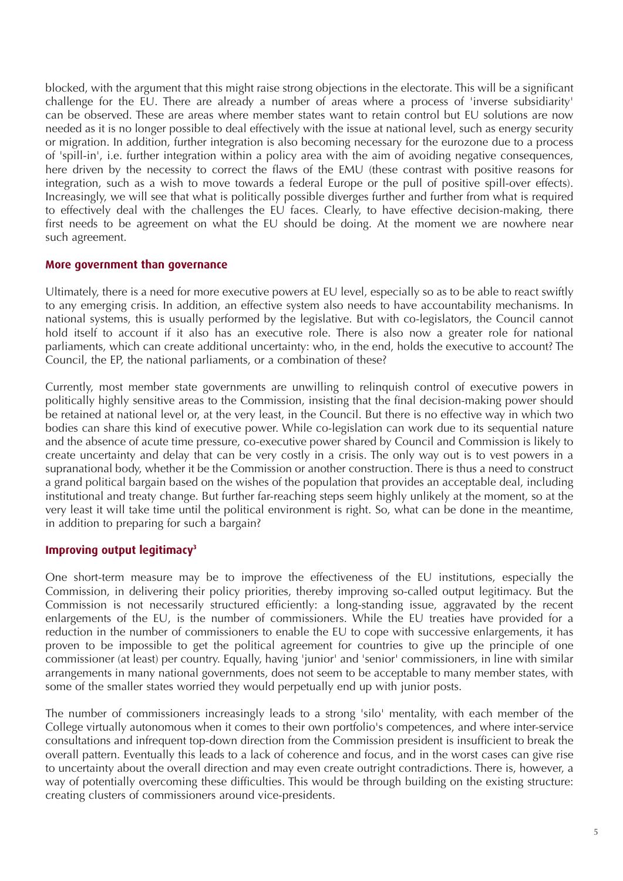blocked, with the argument that this might raise strong objections in the electorate. This will be a significant challenge for the EU. There are already a number of areas where a process of 'inverse subsidiarity' can be observed. These are areas where member states want to retain control but EU solutions are now needed as it is no longer possible to deal effectively with the issue at national level, such as energy security or migration. In addition, further integration is also becoming necessary for the eurozone due to a process of 'spill-in', i.e. further integration within a policy area with the aim of avoiding negative consequences, here driven by the necessity to correct the flaws of the EMU (these contrast with positive reasons for integration, such as a wish to move towards a federal Europe or the pull of positive spill-over effects). Increasingly, we will see that what is politically possible diverges further and further from what is required to effectively deal with the challenges the EU faces. Clearly, to have effective decision-making, there first needs to be agreement on what the EU should be doing. At the moment we are nowhere near such agreement.

#### **More government than governance**

Ultimately, there is a need for more executive powers at EU level, especially so as to be able to react swiftly to any emerging crisis. In addition, an effective system also needs to have accountability mechanisms. In national systems, this is usually performed by the legislative. But with co-legislators, the Council cannot hold itself to account if it also has an executive role. There is also now a greater role for national parliaments, which can create additional uncertainty: who, in the end, holds the executive to account? The Council, the EP, the national parliaments, or a combination of these?

Currently, most member state governments are unwilling to relinquish control of executive powers in politically highly sensitive areas to the Commission, insisting that the final decision-making power should be retained at national level or, at the very least, in the Council. But there is no effective way in which two bodies can share this kind of executive power. While co-legislation can work due to its sequential nature and the absence of acute time pressure, co-executive power shared by Council and Commission is likely to create uncertainty and delay that can be very costly in a crisis. The only way out is to vest powers in a supranational body, whether it be the Commission or another construction. There is thus a need to construct a grand political bargain based on the wishes of the population that provides an acceptable deal, including institutional and treaty change. But further far-reaching steps seem highly unlikely at the moment, so at the very least it will take time until the political environment is right. So, what can be done in the meantime, in addition to preparing for such a bargain?

#### **Improving output legitimacy3**

One short-term measure may be to improve the effectiveness of the EU institutions, especially the Commission, in delivering their policy priorities, thereby improving so-called output legitimacy. But the Commission is not necessarily structured efficiently: a long-standing issue, aggravated by the recent enlargements of the EU, is the number of commissioners. While the EU treaties have provided for a reduction in the number of commissioners to enable the EU to cope with successive enlargements, it has proven to be impossible to get the political agreement for countries to give up the principle of one commissioner (at least) per country. Equally, having 'junior' and 'senior' commissioners, in line with similar arrangements in many national governments, does not seem to be acceptable to many member states, with some of the smaller states worried they would perpetually end up with junior posts.

The number of commissioners increasingly leads to a strong 'silo' mentality, with each member of the College virtually autonomous when it comes to their own portfolio's competences, and where inter-service consultations and infrequent top-down direction from the Commission president is insufficient to break the overall pattern. Eventually this leads to a lack of coherence and focus, and in the worst cases can give rise to uncertainty about the overall direction and may even create outright contradictions. There is, however, a way of potentially overcoming these difficulties. This would be through building on the existing structure: creating clusters of commissioners around vice-presidents.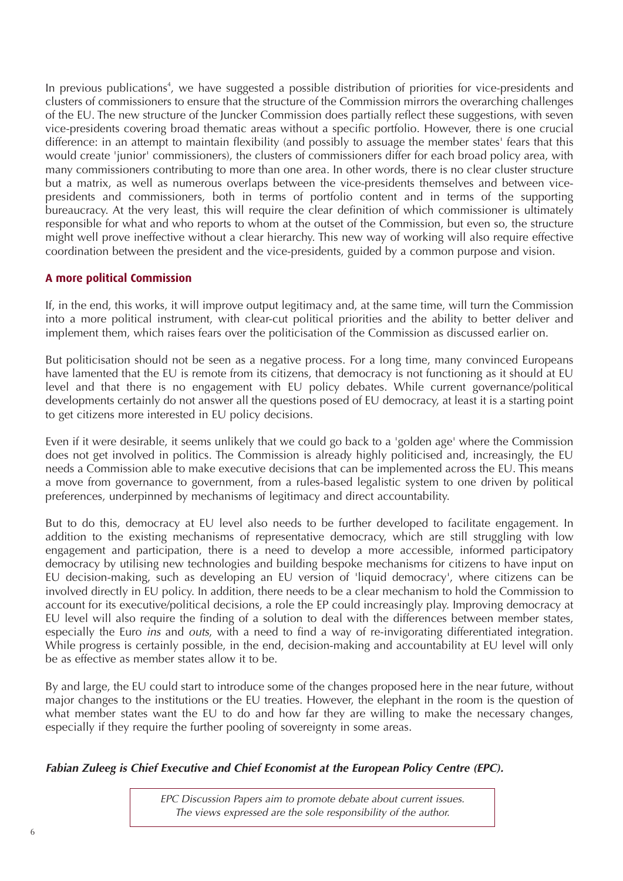In previous publications<sup>4</sup>, we have suggested a possible distribution of priorities for vice-presidents and clusters of commissioners to ensure that the structure of the Commission mirrors the overarching challenges of the EU. The new structure of the Juncker Commission does partially reflect these suggestions, with seven vice-presidents covering broad thematic areas without a specific portfolio. However, there is one crucial difference: in an attempt to maintain flexibility (and possibly to assuage the member states' fears that this would create 'junior' commissioners), the clusters of commissioners differ for each broad policy area, with many commissioners contributing to more than one area. In other words, there is no clear cluster structure but a matrix, as well as numerous overlaps between the vice-presidents themselves and between vicepresidents and commissioners, both in terms of portfolio content and in terms of the supporting bureaucracy. At the very least, this will require the clear definition of which commissioner is ultimately responsible for what and who reports to whom at the outset of the Commission, but even so, the structure might well prove ineffective without a clear hierarchy. This new way of working will also require effective coordination between the president and the vice-presidents, guided by a common purpose and vision.

#### **A more political Commission**

If, in the end, this works, it will improve output legitimacy and, at the same time, will turn the Commission into a more political instrument, with clear-cut political priorities and the ability to better deliver and implement them, which raises fears over the politicisation of the Commission as discussed earlier on.

But politicisation should not be seen as a negative process. For a long time, many convinced Europeans have lamented that the EU is remote from its citizens, that democracy is not functioning as it should at EU level and that there is no engagement with EU policy debates. While current governance/political developments certainly do not answer all the questions posed of EU democracy, at least it is a starting point to get citizens more interested in EU policy decisions.

Even if it were desirable, it seems unlikely that we could go back to a 'golden age' where the Commission does not get involved in politics. The Commission is already highly politicised and, increasingly, the EU needs a Commission able to make executive decisions that can be implemented across the EU. This means a move from governance to government, from a rules-based legalistic system to one driven by political preferences, underpinned by mechanisms of legitimacy and direct accountability.

But to do this, democracy at EU level also needs to be further developed to facilitate engagement. In addition to the existing mechanisms of representative democracy, which are still struggling with low engagement and participation, there is a need to develop a more accessible, informed participatory democracy by utilising new technologies and building bespoke mechanisms for citizens to have input on EU decision-making, such as developing an EU version of 'liquid democracy', where citizens can be involved directly in EU policy. In addition, there needs to be a clear mechanism to hold the Commission to account for its executive/political decisions, a role the EP could increasingly play. Improving democracy at EU level will also require the finding of a solution to deal with the differences between member states, especially the Euro ins and outs, with a need to find a way of re-invigorating differentiated integration. While progress is certainly possible, in the end, decision-making and accountability at EU level will only be as effective as member states allow it to be.

By and large, the EU could start to introduce some of the changes proposed here in the near future, without major changes to the institutions or the EU treaties. However, the elephant in the room is the question of what member states want the EU to do and how far they are willing to make the necessary changes, especially if they require the further pooling of sovereignty in some areas.

#### **Fabian Zuleeg is Chief Executive and Chief Economist at the European Policy Centre (EPC).**

EPC Discussion Papers aim to promote debate about current issues. The views expressed are the sole responsibility of the author.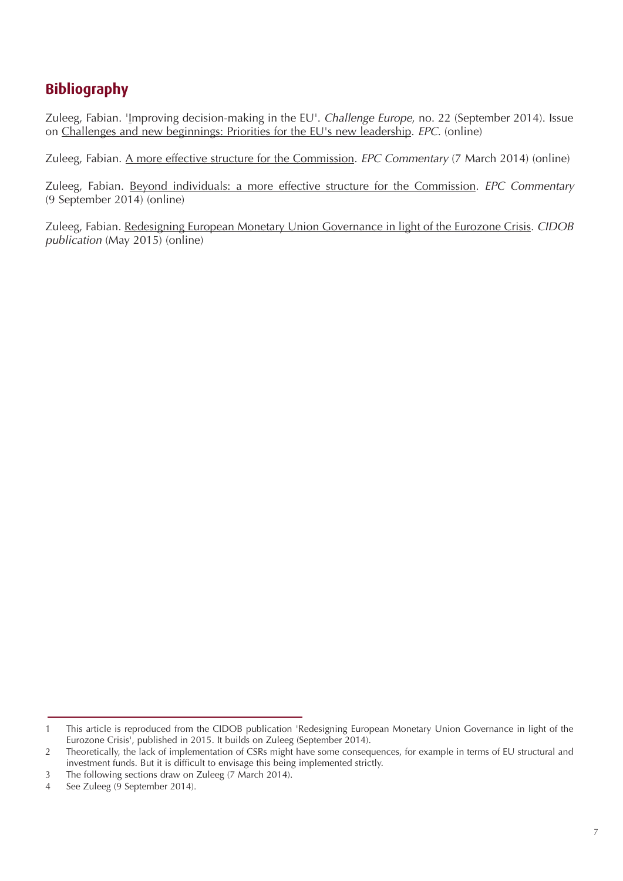### **Bibliography**

Zuleeg, Fabian. 'Improving decision-making in the EU'. Challenge Europe, no. 22 (September 2014). Issue on [Challenges and new beginnings: Priorities for the EU's new leadership.](http://www.epc.eu/documents/uploads/pub_4855_challenge_europe_issue_22.pdf) EPC. (online)

Zuleeg, Fabian. [A more effective structure for the Commission.](http://www.epc.eu/pub_details.php?cat_id=4&pub_id=4230) EPC Commentary (7 March 2014) (online)

Zuleeg, Fabian. [Beyond individuals: a more effective structure for the Commission.](http://www.epc.eu/pub_details.php?cat_id=4&pub_id=4735) EPC Commentary (9 September 2014) (online)

Zuleeg, Fabian. [Redesigning European Monetary Union Governance in light of the Eurozone Crisis.](http://www.cidob.org/en/publications/publication_series/monographs/monographs/redesigning_european_monetary_union_governance_in_light_of_the_eurozone_crisis) CIDOB publication (May 2015) (online)

<sup>1</sup> This article is reproduced from the CIDOB publication 'Redesigning European Monetary Union Governance in light of the Eurozone Crisis', published in 2015. It builds on Zuleeg (September 2014).

<sup>2</sup> Theoretically, the lack of implementation of CSRs might have some consequences, for example in terms of EU structural and investment funds. But it is difficult to envisage this being implemented strictly.

<sup>3</sup> The following sections draw on Zuleeg (7 March 2014).

<sup>4</sup> See Zuleeg (9 September 2014).